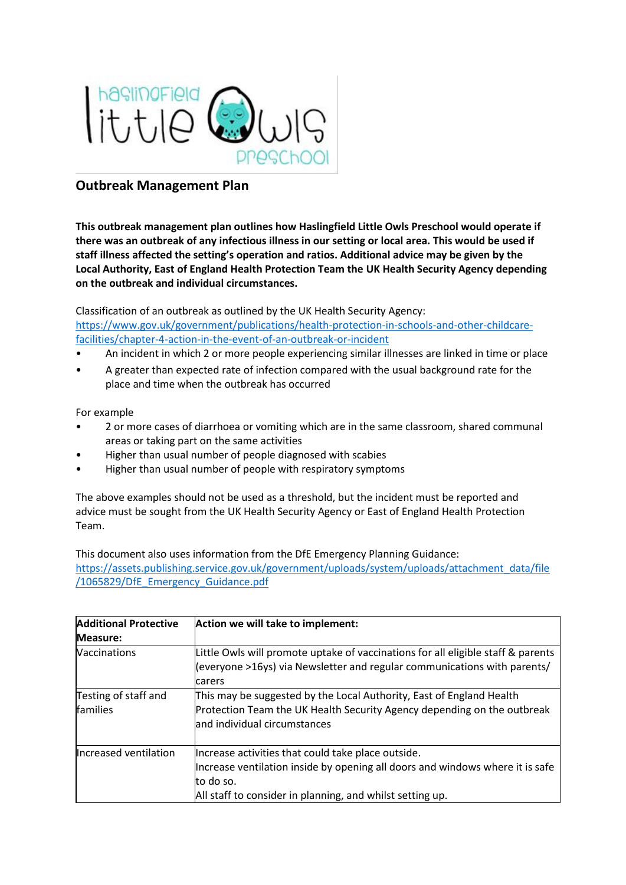

## **Outbreak Management Plan**

**This outbreak management plan outlines how Haslingfield Little Owls Preschool would operate if there was an outbreak of any infectious illness in our setting or local area. This would be used if staff illness affected the setting's operation and ratios. Additional advice may be given by the Local Authority, East of England Health Protection Team the UK Health Security Agency depending on the outbreak and individual circumstances.** 

Classification of an outbreak as outlined by the UK Health Security Agency: [https://www.gov.uk/government/publications/health-protection-in-schools-and-other-childcare](https://www.gov.uk/government/publications/health-protection-in-schools-and-other-childcare-facilities/chapter-4-action-in-the-event-of-an-outbreak-or-incident)[facilities/chapter-4-action-in-the-event-of-an-outbreak-or-incident](https://www.gov.uk/government/publications/health-protection-in-schools-and-other-childcare-facilities/chapter-4-action-in-the-event-of-an-outbreak-or-incident)

- An incident in which 2 or more people experiencing similar illnesses are linked in time or place
- A greater than expected rate of infection compared with the usual background rate for the place and time when the outbreak has occurred

For example

- 2 or more cases of diarrhoea or vomiting which are in the same classroom, shared communal areas or taking part on the same activities
- Higher than usual number of people diagnosed with scabies
- Higher than usual number of people with respiratory symptoms

The above examples should not be used as a threshold, but the incident must be reported and advice must be sought from the UK Health Security Agency or East of England Health Protection Team.

This document also uses information from the DfE Emergency Planning Guidance: [https://assets.publishing.service.gov.uk/government/uploads/system/uploads/attachment\\_data/file](https://assets.publishing.service.gov.uk/government/uploads/system/uploads/attachment_data/file/1065829/DfE_Emergency_Guidance.pdf) [/1065829/DfE\\_Emergency\\_Guidance.pdf](https://assets.publishing.service.gov.uk/government/uploads/system/uploads/attachment_data/file/1065829/DfE_Emergency_Guidance.pdf)

| <b>Additional Protective</b><br>Measure: | Action we will take to implement:                                                                                                                                                                             |
|------------------------------------------|---------------------------------------------------------------------------------------------------------------------------------------------------------------------------------------------------------------|
| <b>Vaccinations</b>                      | Little Owls will promote uptake of vaccinations for all eligible staff & parents<br>(everyone >16ys) via Newsletter and regular communications with parents/<br>lcarers                                       |
| Testing of staff and<br>families         | This may be suggested by the Local Authority, East of England Health<br>Protection Team the UK Health Security Agency depending on the outbreak<br>land individual circumstances                              |
| Increased ventilation                    | Increase activities that could take place outside.<br>Increase ventilation inside by opening all doors and windows where it is safe<br>to do so.<br>All staff to consider in planning, and whilst setting up. |